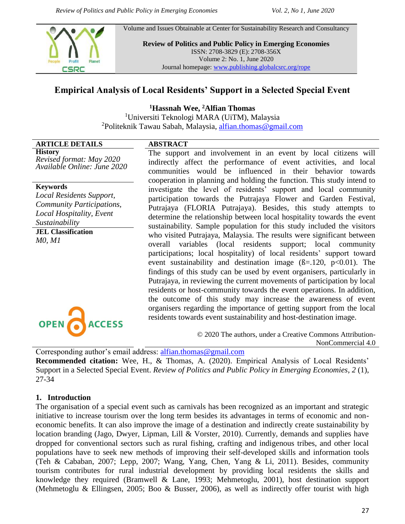Volume and Issues Obtainable at Center for Sustainability Research and Consultancy



**Review of Politics and Public Policy in Emerging Economies** ISSN: 2708-3829 (E): 2708-356X Volume 2: No. 1, June 2020 Journal homepage: [www.publishing.globalcsrc.org/rope](http://www.publishing.globalcsrc.org/rope)

# **Empirical Analysis of Local Residents' Support in a Selected Special Event**

**<sup>1</sup>Hassnah Wee, <sup>2</sup>Alfian Thomas** <sup>1</sup>Universiti Teknologi MARA (UiTM), Malaysia <sup>2</sup>Politeknik Tawau Sabah, Malaysia, [alfian.thomas@gmail.com](mailto:alfian.thomas@gmail.com)

# **ARTICLE DETAILS ABSTRACT**

**History** *Revised format: May 2020 Available Online: June 2020*

#### **Keywords**

*Local Residents Support, Community Participations, Local Hospitality, Event Sustainability*

**JEL Classification** *M0, M1*



The support and involvement in an event by local citizens will indirectly affect the performance of event activities, and local communities would be influenced in their behavior towards cooperation in planning and holding the function. This study intend to investigate the level of residents' support and local community participation towards the Putrajaya Flower and Garden Festival, Putrajaya (FLORIA Putrajaya). Besides, this study attempts to determine the relationship between local hospitality towards the event sustainability. Sample population for this study included the visitors who visited Putrajaya, Malaysia. The results were significant between overall variables (local residents support; local community participations; local hospitality) of local residents' support toward event sustainability and destination image  $(\beta = 120, \ p < 0.01)$ . The findings of this study can be used by event organisers, particularly in Putrajaya, in reviewing the current movements of participation by local residents or host-community towards the event operations. In addition, the outcome of this study may increase the awareness of event organisers regarding the importance of getting support from the local residents towards event sustainability and host-destination image.

> © 2020 The authors, under a Creative Commons Attribution-NonCommercial 4.0

Corresponding author's email address: [alfian.thomas@gmail.com](mailto:alfian.thomas@gmail.com)

**Recommended citation:** Wee, H., & Thomas, A. (2020). Empirical Analysis of Local Residents' Support in a Selected Special Event. *Review of Politics and Public Policy in Emerging Economies, 2* (1), 27-34

### **1. Introduction**

The organisation of a special event such as carnivals has been recognized as an important and strategic initiative to increase tourism over the long term besides its advantages in terms of economic and noneconomic benefits. It can also improve the image of a destination and indirectly create sustainability by location branding (Jago, Dwyer, Lipman, Lill & Vorster, 2010). Currently, demands and supplies have dropped for conventional sectors such as rural fishing, crafting and indigenous tribes, and other local populations have to seek new methods of improving their self-developed skills and information tools (Teh & Cababan, 2007; Lepp, 2007; Wang, Yang, Chen, Yang & Li, 2011). Besides, community tourism contributes for rural industrial development by providing local residents the skills and knowledge they required (Bramwell & Lane, 1993; Mehmetoglu, 2001), host destination support (Mehmetoglu & Ellingsen, 2005; Boo & Busser, 2006), as well as indirectly offer tourist with high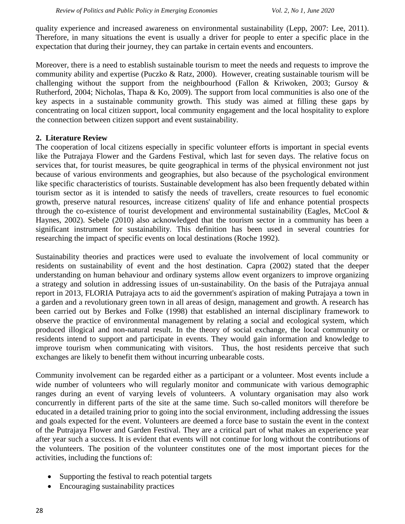quality experience and increased awareness on environmental sustainability (Lepp, 2007: Lee, 2011). Therefore, in many situations the event is usually a driver for people to enter a specific place in the expectation that during their journey, they can partake in certain events and encounters.

Moreover, there is a need to establish sustainable tourism to meet the needs and requests to improve the community ability and expertise (Puczko & Ratz, 2000). However, creating sustainable tourism will be challenging without the support from the neighbourhood (Fallon & Kriwoken, 2003; Gursoy & Rutherford, 2004; Nicholas, Thapa & Ko, 2009). The support from local communities is also one of the key aspects in a sustainable community growth. This study was aimed at filling these gaps by concentrating on local citizen support, local community engagement and the local hospitality to explore the connection between citizen support and event sustainability.

### **2. Literature Review**

The cooperation of local citizens especially in specific volunteer efforts is important in special events like the Putrajaya Flower and the Gardens Festival, which last for seven days. The relative focus on services that, for tourist measures, be quite geographical in terms of the physical environment not just because of various environments and geographies, but also because of the psychological environment like specific characteristics of tourists. Sustainable development has also been frequently debated within tourism sector as it is intended to satisfy the needs of travellers, create resources to fuel economic growth, preserve natural resources, increase citizens' quality of life and enhance potential prospects through the co-existence of tourist development and environmental sustainability (Eagles, McCool  $\&$ Haynes, 2002). Sebele (2010) also acknowledged that the tourism sector in a community has been a significant instrument for sustainability. This definition has been used in several countries for researching the impact of specific events on local destinations (Roche 1992).

Sustainability theories and practices were used to evaluate the involvement of local community or residents on sustainability of event and the host destination. Capra (2002) stated that the deeper understanding on human behaviour and ordinary systems allow event organizers to improve organizing a strategy and solution in addressing issues of un-sustainability. On the basis of the Putrajaya annual report in 2013, FLORIA Putrajaya acts to aid the government's aspiration of making Putrajaya a town in a garden and a revolutionary green town in all areas of design, management and growth. A research has been carried out by Berkes and Folke (1998) that established an internal disciplinary framework to observe the practice of environmental management by relating a social and ecological system, which produced illogical and non-natural result. In the theory of social exchange, the local community or residents intend to support and participate in events. They would gain information and knowledge to improve tourism when communicating with visitors. Thus, the host residents perceive that such exchanges are likely to benefit them without incurring unbearable costs.

Community involvement can be regarded either as a participant or a volunteer. Most events include a wide number of volunteers who will regularly monitor and communicate with various demographic ranges during an event of varying levels of volunteers. A voluntary organisation may also work concurrently in different parts of the site at the same time. Such so-called monitors will therefore be educated in a detailed training prior to going into the social environment, including addressing the issues and goals expected for the event. Volunteers are deemed a force base to sustain the event in the context of the Putrajaya Flower and Garden Festival. They are a critical part of what makes an experience year after year such a success. It is evident that events will not continue for long without the contributions of the volunteers. The position of the volunteer constitutes one of the most important pieces for the activities, including the functions of:

- Supporting the festival to reach potential targets
- Encouraging sustainability practices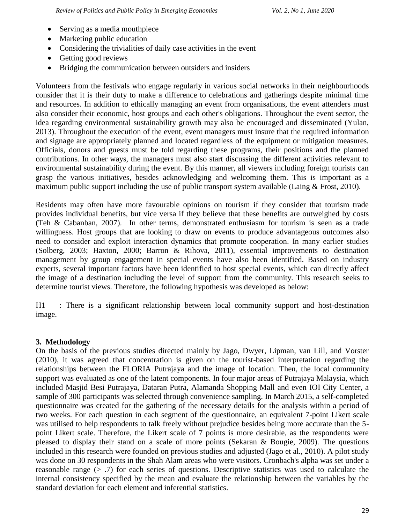- Serving as a media mouthpiece
- Marketing public education
- Considering the trivialities of daily case activities in the event
- Getting good reviews
- Bridging the communication between outsiders and insiders

Volunteers from the festivals who engage regularly in various social networks in their neighbourhoods consider that it is their duty to make a difference to celebrations and gatherings despite minimal time and resources. In addition to ethically managing an event from organisations, the event attenders must also consider their economic, host groups and each other's obligations. Throughout the event sector, the idea regarding environmental sustainability growth may also be encouraged and disseminated (Yulan, 2013). Throughout the execution of the event, event managers must insure that the required information and signage are appropriately planned and located regardless of the equipment or mitigation measures. Officials, donors and guests must be told regarding these programs, their positions and the planned contributions. In other ways, the managers must also start discussing the different activities relevant to environmental sustainability during the event. By this manner, all viewers including foreign tourists can grasp the various initiatives, besides acknowledging and welcoming them. This is important as a maximum public support including the use of public transport system available (Laing & Frost, 2010).

Residents may often have more favourable opinions on tourism if they consider that tourism trade provides individual benefits, but vice versa if they believe that these benefits are outweighed by costs (Teh & Cabanban, 2007). In other terms, demonstrated enthusiasm for tourism is seen as a trade willingness. Host groups that are looking to draw on events to produce advantageous outcomes also need to consider and exploit interaction dynamics that promote cooperation. In many earlier studies (Solberg, 2003; Haxton, 2000; Barron & Rihova, 2011), essential improvements to destination management by group engagement in special events have also been identified. Based on industry experts, several important factors have been identified to host special events, which can directly affect the image of a destination including the level of support from the community. This research seeks to determine tourist views. Therefore, the following hypothesis was developed as below:

H1 : There is a significant relationship between local community support and host-destination image.

### **3. Methodology**

On the basis of the previous studies directed mainly by Jago, Dwyer, Lipman, van Lill, and Vorster (2010), it was agreed that concentration is given on the tourist-based interpretation regarding the relationships between the FLORIA Putrajaya and the image of location. Then, the local community support was evaluated as one of the latent components. In four major areas of Putrajaya Malaysia, which included Masjid Besi Putrajaya, Dataran Putra, Alamanda Shopping Mall and even IOI City Center, a sample of 300 participants was selected through convenience sampling. In March 2015, a self-completed questionnaire was created for the gathering of the necessary details for the analysis within a period of two weeks. For each question in each segment of the questionnaire, an equivalent 7-point Likert scale was utilised to help respondents to talk freely without prejudice besides being more accurate than the 5 point Likert scale. Therefore, the Likert scale of 7 points is more desirable, as the respondents were pleased to display their stand on a scale of more points (Sekaran & Bougie, 2009). The questions included in this research were founded on previous studies and adjusted (Jago et al., 2010). A pilot study was done on 30 respondents in the Shah Alam areas who were visitors. Cronbach's alpha was set under a reasonable range (> .7) for each series of questions. Descriptive statistics was used to calculate the internal consistency specified by the mean and evaluate the relationship between the variables by the standard deviation for each element and inferential statistics.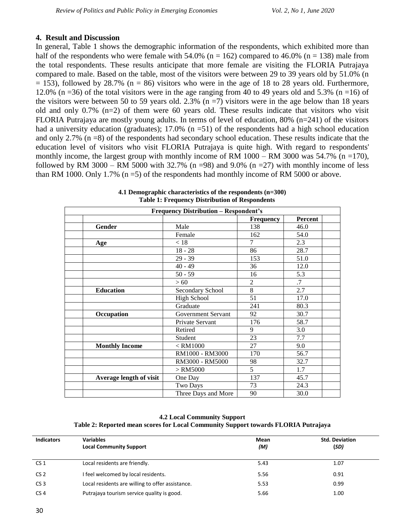#### **4. Result and Discussion**

In general, Table 1 shows the demographic information of the respondents, which exhibited more than half of the respondents who were female with  $54.0\%$  (n = 162) compared to 46.0% (n = 138) male from the total respondents. These results anticipate that more female are visiting the FLORIA Putrajaya compared to male. Based on the table, most of the visitors were between 29 to 39 years old by 51.0% (n  $= 153$ ), followed by 28.7% (n = 86) visitors who were in the age of 18 to 28 years old. Furthermore, 12.0% (n =36) of the total visitors were in the age ranging from 40 to 49 years old and 5.3% (n =16) of the visitors were between 50 to 59 years old. 2.3% (n =7) visitors were in the age below than 18 years old and only 0.7% ( $n=2$ ) of them were 60 years old. These results indicate that visitors who visit FLORIA Putrajaya are mostly young adults. In terms of level of education, 80% (n=241) of the visitors had a university education (graduates); 17.0% (n = 51) of the respondents had a high school education and only 2.7% (n =8) of the respondents had secondary school education. These results indicate that the education level of visitors who visit FLORIA Putrajaya is quite high. With regard to respondents' monthly income, the largest group with monthly income of RM  $1000 - RM$  3000 was 54.7% (n =170), followed by RM 3000 – RM 5000 with 32.7% (n =98) and 9.0% (n =27) with monthly income of less than RM 1000. Only 1.7%  $(n=5)$  of the respondents had monthly income of RM 5000 or above.

| <b>Frequency Distribution - Respondent's</b> |                           |                  |         |  |
|----------------------------------------------|---------------------------|------------------|---------|--|
|                                              |                           | <b>Frequency</b> | Percent |  |
| <b>Gender</b>                                | Male                      | 138              | 46.0    |  |
|                                              | Female                    | 162              | 54.0    |  |
| Age                                          | $<18$                     | $\overline{7}$   | 2.3     |  |
|                                              | $18 - 28$                 | 86               | 28.7    |  |
|                                              | $29 - 39$                 | 153              | 51.0    |  |
|                                              | $40 - 49$                 | 36               | 12.0    |  |
|                                              | $50 - 59$                 | 16               | 5.3     |  |
|                                              | >60                       | $\overline{2}$   | $.7\,$  |  |
| <b>Education</b>                             | Secondary School          | 8                | 2.7     |  |
|                                              | <b>High School</b>        | 51               | 17.0    |  |
|                                              | Graduate                  | 241              | 80.3    |  |
| Occupation                                   | <b>Government Servant</b> | 92               | 30.7    |  |
|                                              | Private Servant           | 176              | 58.7    |  |
|                                              | Retired                   | 9                | 3.0     |  |
|                                              | Student                   | 23               | 7.7     |  |
| <b>Monthly Income</b>                        | $<$ RM1000                | 27               | 9.0     |  |
|                                              | RM1000 - RM3000           | 170              | 56.7    |  |
|                                              | RM3000 - RM5000           | 98               | 32.7    |  |
|                                              | $>$ RM5000                | 5                | 1.7     |  |
| Average length of visit                      | One Day                   | 137              | 45.7    |  |
|                                              | Two Days                  | 73               | 24.3    |  |
|                                              | Three Days and More       | 90               | 30.0    |  |

| 4.1 Demographic characteristics of the respondents $(n=300)$ |
|--------------------------------------------------------------|
| <b>Table 1: Frequency Distribution of Respondents</b>        |

**4.2 Local Community Support Table 2: Reported mean scores for Local Community Support towards FLORIA Putrajaya**

| <b>Indicators</b> | <b>Variables</b><br><b>Local Community Support</b> | Mean<br>(M) | <b>Std. Deviation</b><br>(SD) |
|-------------------|----------------------------------------------------|-------------|-------------------------------|
| CS <sub>1</sub>   | Local residents are friendly.                      | 5.43        | 1.07                          |
| CS <sub>2</sub>   | I feel welcomed by local residents.                | 5.56        | 0.91                          |
| CS <sub>3</sub>   | Local residents are willing to offer assistance.   | 5.53        | 0.99                          |
| CS <sub>4</sub>   | Putrajaya tourism service quality is good.         | 5.66        | 1.00                          |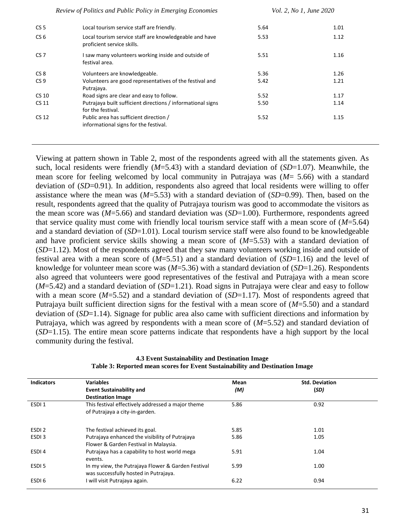| Review of Politics and Public Policy in Emerging Economies |                                                                                      | Vol. 2, No 1, June 2020 |      |
|------------------------------------------------------------|--------------------------------------------------------------------------------------|-------------------------|------|
| CS <sub>5</sub>                                            | Local tourism service staff are friendly.                                            | 5.64                    | 1.01 |
| CS <sub>6</sub>                                            | Local tourism service staff are knowledgeable and have<br>proficient service skills. | 5.53                    | 1.12 |
| CS <sub>7</sub>                                            | I saw many volunteers working inside and outside of<br>festival area.                | 5.51                    | 1.16 |
| CS <sub>8</sub>                                            | Volunteers are knowledgeable.                                                        | 5.36                    | 1.26 |
| CS <sub>9</sub>                                            | Volunteers are good representatives of the festival and<br>Putrajaya.                | 5.42                    | 1.21 |
| CS 10                                                      | Road signs are clear and easy to follow.                                             | 5.52                    | 1.17 |
| CS 11                                                      | Putrajaya built sufficient directions / informational signs<br>for the festival.     | 5.50                    | 1.14 |
| CS 12                                                      | Public area has sufficient direction /<br>informational signs for the festival.      | 5.52                    | 1.15 |

Viewing at pattern shown in Table 2, most of the respondents agreed with all the statements given. As such, local residents were friendly (*M*=5.43) with a standard deviation of (*SD*=1.07). Meanwhile, the mean score for feeling welcomed by local community in Putrajaya was (*M*= 5.66) with a standard deviation of (*SD*=0.91). In addition, respondents also agreed that local residents were willing to offer assistance where the mean was (*M*=5.53) with a standard deviation of (*SD*=0.99). Then, based on the result, respondents agreed that the quality of Putrajaya tourism was good to accommodate the visitors as the mean score was (*M*=5.66) and standard deviation was (*SD*=1.00). Furthermore, respondents agreed that service quality must come with friendly local tourism service staff with a mean score of (*M*=5.64) and a standard deviation of (*SD*=1.01). Local tourism service staff were also found to be knowledgeable and have proficient service skills showing a mean score of (*M*=5.53) with a standard deviation of (*SD*=1.12). Most of the respondents agreed that they saw many volunteers working inside and outside of festival area with a mean score of (*M*=5.51) and a standard deviation of (*SD*=1.16) and the level of knowledge for volunteer mean score was (*M*=5.36) with a standard deviation of (*SD*=1.26). Respondents also agreed that volunteers were good representatives of the festival and Putrajaya with a mean score (*M*=5.42) and a standard deviation of (*SD*=1.21). Road signs in Putrajaya were clear and easy to follow with a mean score ( $M=5.52$ ) and a standard deviation of ( $SD=1.17$ ). Most of respondents agreed that Putrajaya built sufficient direction signs for the festival with a mean score of (*M*=5.50) and a standard deviation of (*SD*=1.14). Signage for public area also came with sufficient directions and information by Putrajaya, which was agreed by respondents with a mean score of (*M*=5.52) and standard deviation of (*SD*=1.15). The entire mean score patterns indicate that respondents have a high support by the local community during the festival.

| <b>Indicators</b> | <b>Variables</b>                                                                            | Mean | <b>Std. Deviation</b> |
|-------------------|---------------------------------------------------------------------------------------------|------|-----------------------|
|                   | <b>Event Sustainability and</b>                                                             | (M)  | (SD)                  |
|                   | <b>Destination Image</b>                                                                    |      |                       |
| ESDI <sub>1</sub> | This festival effectively addressed a major theme                                           | 5.86 | 0.92                  |
|                   | of Putrajaya a city-in-garden.                                                              |      |                       |
| ESDI <sub>2</sub> | The festival achieved its goal.                                                             | 5.85 | 1.01                  |
| ESDI <sub>3</sub> | Putrajaya enhanced the visibility of Putrajaya                                              | 5.86 | 1.05                  |
|                   | Flower & Garden Festival in Malaysia.                                                       |      |                       |
| ESDI 4            | Putrajaya has a capability to host world mega<br>events.                                    | 5.91 | 1.04                  |
| ESDI <sub>5</sub> | In my view, the Putrajaya Flower & Garden Festival<br>was successfully hosted in Putrajaya. | 5.99 | 1.00                  |
| ESDI <sub>6</sub> | I will visit Putrajaya again.                                                               | 6.22 | 0.94                  |

**4.3 Event Sustainability and Destination Image Table 3: Reported mean scores for Event Sustainability and Destination Image**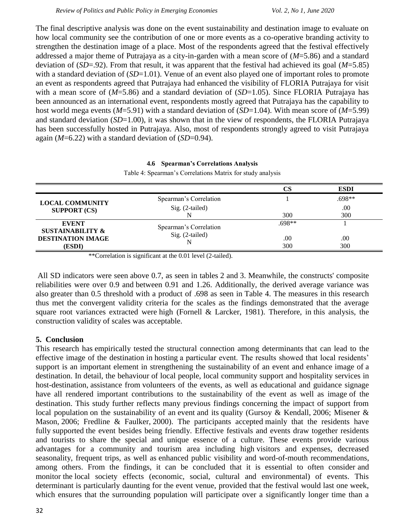The final descriptive analysis was done on the event sustainability and destination image to evaluate on how local community see the contribution of one or more events as a co-operative branding activity to strengthen the destination image of a place. Most of the respondents agreed that the festival effectively addressed a major theme of Putrajaya as a city-in-garden with a mean score of (*M*=5.86) and a standard deviation of (*SD*=.92). From that result, it was apparent that the festival had achieved its goal (*M*=5.85) with a standard deviation of (*SD*=1.01). Venue of an event also played one of important roles to promote an event as respondents agreed that Putrajaya had enhanced the visibility of FLORIA Putrajaya for visit with a mean score of (*M*=5.86) and a standard deviation of (*SD*=1.05). Since FLORIA Putrajaya has been announced as an international event, respondents mostly agreed that Putrajaya has the capability to host world mega events (*M*=5.91) with a standard deviation of (*SD*=1.04). With mean score of (*M*=5.99) and standard deviation (*SD*=1.00), it was shown that in the view of respondents, the FLORIA Putrajaya has been successfully hosted in Putrajaya. Also, most of respondents strongly agreed to visit Putrajaya again (*M*=6.22) with a standard deviation of (*SD*=0.94).

#### **4.6 Spearman's Correlations Analysis**

|                                             |                        | CS     | <b>ESDI</b> |
|---------------------------------------------|------------------------|--------|-------------|
| <b>LOCAL COMMUNITY</b>                      | Spearman's Correlation |        | $.698**$    |
| <b>SUPPORT (CS)</b>                         | Sig. (2-tailed)        |        | .00         |
|                                             |                        | 300    | 300         |
| <b>EVENT</b><br><b>SUSTAINABILITY &amp;</b> | Spearman's Correlation | .698** |             |
| <b>DESTINATION IMAGE</b>                    | Sig. (2-tailed)        | .00    | .00         |
| (ESDI)                                      |                        | 300    | 300         |

Table 4: Spearman's Correlations Matrix for study analysis

\*\*Correlation is significant at the 0.01 level (2-tailed).

All SD indicators were seen above 0.7, as seen in tables 2 and 3. Meanwhile, the constructs' composite reliabilities were over 0.9 and between 0.91 and 1.26. Additionally, the derived average variance was also greater than 0.5 threshold with a product of .698 as seen in Table 4. The measures in this research thus met the convergent validity criteria for the scales as the findings demonstrated that the average square root variances extracted were high (Fornell & Larcker, 1981). Therefore, in this analysis, the construction validity of scales was acceptable.

### **5. Conclusion**

This research has empirically tested the structural connection among determinants that can lead to the effective image of the destination in hosting a particular event. The results showed that local residents' support is an important element in strengthening the sustainability of an event and enhance image of a destination. In detail, the behaviour of local people, local community support and hospitality services in host-destination, assistance from volunteers of the events, as well as educational and guidance signage have all rendered important contributions to the sustainability of the event as well as image of the destination. This study further reflects many previous findings concerning the impact of support from local population on the sustainability of an event and its quality (Gursoy & Kendall, 2006; Misener & Mason, 2006; Fredline & Faulker, 2000). The participants accepted mainly that the residents have fully supported the event besides being friendly. Effective festivals and events draw together residents and tourists to share the special and unique essence of a culture. These events provide various advantages for a community and tourism area including high visitors and expenses, decreased seasonality, frequent trips, as well as enhanced public visibility and word-of-mouth recommendations, among others. From the findings, it can be concluded that it is essential to often consider and monitor the local society effects (economic, social, cultural and environmental) of events. This determinant is particularly daunting for the event venue, provided that the festival would last one week, which ensures that the surrounding population will participate over a significantly longer time than a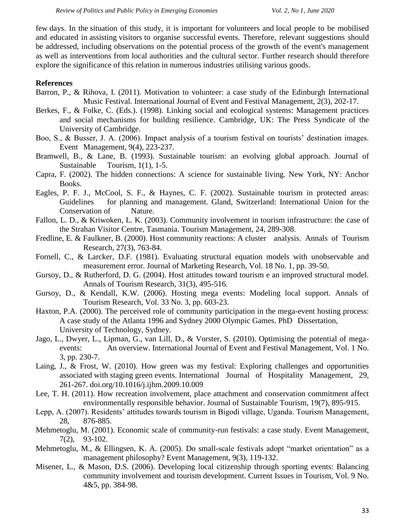few days. In the situation of this study, it is important for volunteers and local people to be mobilised and educated in assisting visitors to organise successful events. Therefore, relevant suggestions should be addressed, including observations on the potential process of the growth of the event's management as well as interventions from local authorities and the cultural sector. Further research should therefore explore the significance of this relation in numerous industries utilising various goods.

## **References**

- Barron, P., & Rihova, I. (2011). Motivation to volunteer: a case study of the Edinburgh International Music Festival. International Journal of Event and Festival Management, 2(3), 202-17.
- Berkes, F., & Folke, C. (Eds.). (1998). Linking social and ecological systems: Management practices and social mechanisms for building resilience. Cambridge, UK: The Press Syndicate of the University of Cambridge.
- Boo, S., & Busser, J. A. (2006). Impact analysis of a tourism festival on tourists' destination images. Event Management, 9(4), 223-237.
- Bramwell, B., & Lane, B. (1993). Sustainable tourism: an evolving global approach. Journal of Sustainable Tourism, 1(1), 1-5.
- Capra, F. (2002). The hidden connections: A science for sustainable living. New York, NY: Anchor Books.
- Eagles, P. F. J., McCool, S. F., & Haynes, C. F. (2002). Sustainable tourism in protected areas: Guidelines for planning and management. Gland, Switzerland: International Union for the Conservation of Nature.
- Fallon, L. D., & Kriwoken, L. K. (2003). Community involvement in tourism infrastructure: the case of the Strahan Visitor Centre, Tasmania. Tourism Management, 24, 289-308.
- Fredline, E. & Faulkner, B. (2000). Host community reactions: A cluster analysis. Annals of Tourism Research, 27(3), 763-84.
- Fornell, C., & Larcker, D.F. (1981). Evaluating structural equation models with unobservable and measurement error. Journal of Marketing Research, Vol. 18 No. 1, pp. 39-50.
- Gursoy, D., & Rutherford, D. G. (2004). Host attitudes toward tourism e an improved structural model. Annals of Tourism Research, 31(3), 495-516.
- Gursoy, D., & Kendall, K.W. (2006). Hosting mega events: Modeling local support. Annals of Tourism Research, Vol. 33 No. 3, pp. 603-23.
- Haxton, P.A. (2000). The perceived role of community participation in the mega-event hosting process: A case study of the Atlanta 1996 and Sydney 2000 Olympic Games. PhD Dissertation, University of Technology, Sydney.
- Jago, L., Dwyer, L., Lipman, G., van Lill, D., & Vorster, S. (2010). Optimising the potential of megaevents: An overview. International Journal of Event and Festival Management, Vol. 1 No. 3, pp. 230-7.
- Laing, J., & Frost, W. (2010). How green was my festival: Exploring challenges and opportunities associated with staging green events. International Journal of Hospitality Management, 29, 261-267. doi.org/10.1016/j.ijhm.2009.10.009
- Lee, T. H. (2011). How recreation involvement, place attachment and conservation commitment affect environmentally responsible behavior. Journal of Sustainable Tourism, 19(7), 895-915.
- Lepp, A. (2007). Residents' attitudes towards tourism in Bigodi village, Uganda. Tourism Management, 28, 876-885.
- Mehmetoglu, M. (2001). Economic scale of community-run festivals: a case study. Event Management, 7(2), 93-102.
- Mehmetoglu, M., & Ellingsen, K. A. (2005). Do small-scale festivals adopt "market orientation" as a management philosophy? Event Management, 9(3), 119-132.
- Misener, L., & Mason, D.S. (2006). Developing local citizenship through sporting events: Balancing community involvement and tourism development. Current Issues in Tourism, Vol. 9 No. 4&5, pp. 384-98.